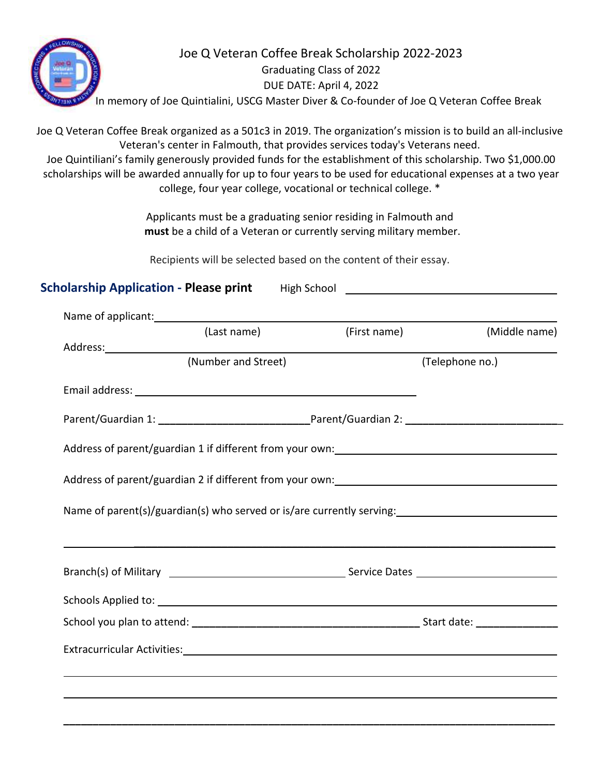

## Joe Q Veteran Coffee Break Scholarship 2022-2023 Graduating Class of 2022 DUE DATE: April 4, 2022

In memory of Joe Quintialini, USCG Master Diver & Co-founder of Joe Q Veteran Coffee Break

Joe Q Veteran Coffee Break organized as a 501c3 in 2019. The organization's mission is to build an all-inclusive Veteran's center in Falmouth, that provides services today's Veterans need.

Joe Quintiliani's family generously provided funds for the establishment of this scholarship. Two \$1,000.00 scholarships will be awarded annually for up to four years to be used for educational expenses at a two year college, four year college, vocational or technical college. \*

> Applicants must be a graduating senior residing in Falmouth and **must** be a child of a Veteran or currently serving military member.

Recipients will be selected based on the content of their essay.

| (Last name)         | (First name)                                                          |                 | (Middle name) |
|---------------------|-----------------------------------------------------------------------|-----------------|---------------|
|                     |                                                                       |                 |               |
| (Number and Street) |                                                                       | (Telephone no.) |               |
|                     |                                                                       |                 |               |
|                     |                                                                       |                 |               |
|                     |                                                                       |                 |               |
|                     |                                                                       |                 |               |
|                     |                                                                       |                 |               |
|                     | Name of parent(s)/guardian(s) who served or is/are currently serving: |                 |               |
|                     |                                                                       |                 |               |
|                     |                                                                       |                 |               |
|                     |                                                                       |                 |               |
|                     |                                                                       |                 |               |